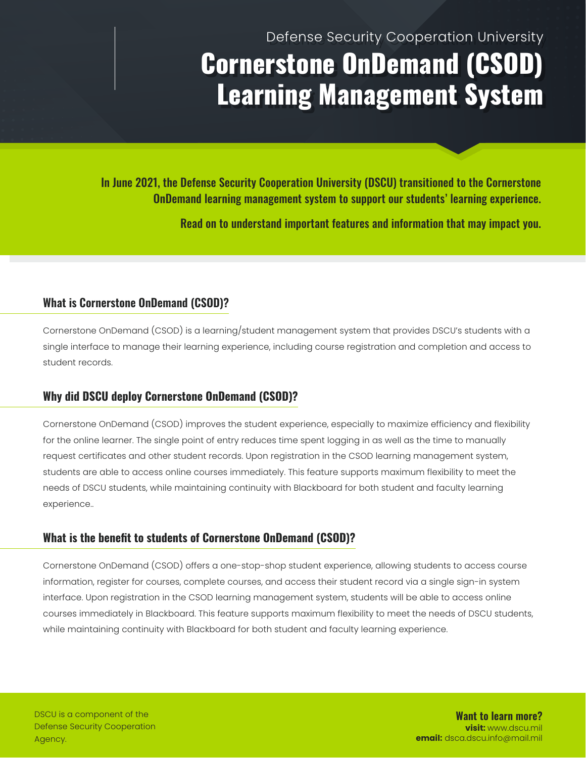# Defense Security Cooperation University Cornerstone OnDemand (CSOD) Learning Management System

In June 2021, the Defense Security Cooperation University (DSCU) transitioned to the Cornerstone OnDemand learning management system to support our students' learning experience.

Read on to understand important features and information that may impact you.

## **What is Cornerstone OnDemand (CSOD)?**

Cornerstone OnDemand (CSOD) is a learning/student management system that provides DSCU's students with a single interface to manage their learning experience, including course registration and completion and access to student records.

# **Why did DSCU deploy Cornerstone OnDemand (CSOD)?**

Cornerstone OnDemand (CSOD) improves the student experience, especially to maximize efficiency and flexibility for the online learner. The single point of entry reduces time spent logging in as well as the time to manually request certificates and other student records. Upon registration in the CSOD learning management system, students are able to access online courses immediately. This feature supports maximum flexibility to meet the needs of DSCU students, while maintaining continuity with Blackboard for both student and faculty learning experience..

## **What is the benefit to students of Cornerstone OnDemand (CSOD)?**

Cornerstone OnDemand (CSOD) offers a one-stop-shop student experience, allowing students to access course information, register for courses, complete courses, and access their student record via a single sign-in system interface. Upon registration in the CSOD learning management system, students will be able to access online courses immediately in Blackboard. This feature supports maximum flexibility to meet the needs of DSCU students, while maintaining continuity with Blackboard for both student and faculty learning experience.

**Want to learn more? visit:** www.dscu.mil **email:** dsca.dscu.info@mail.mil